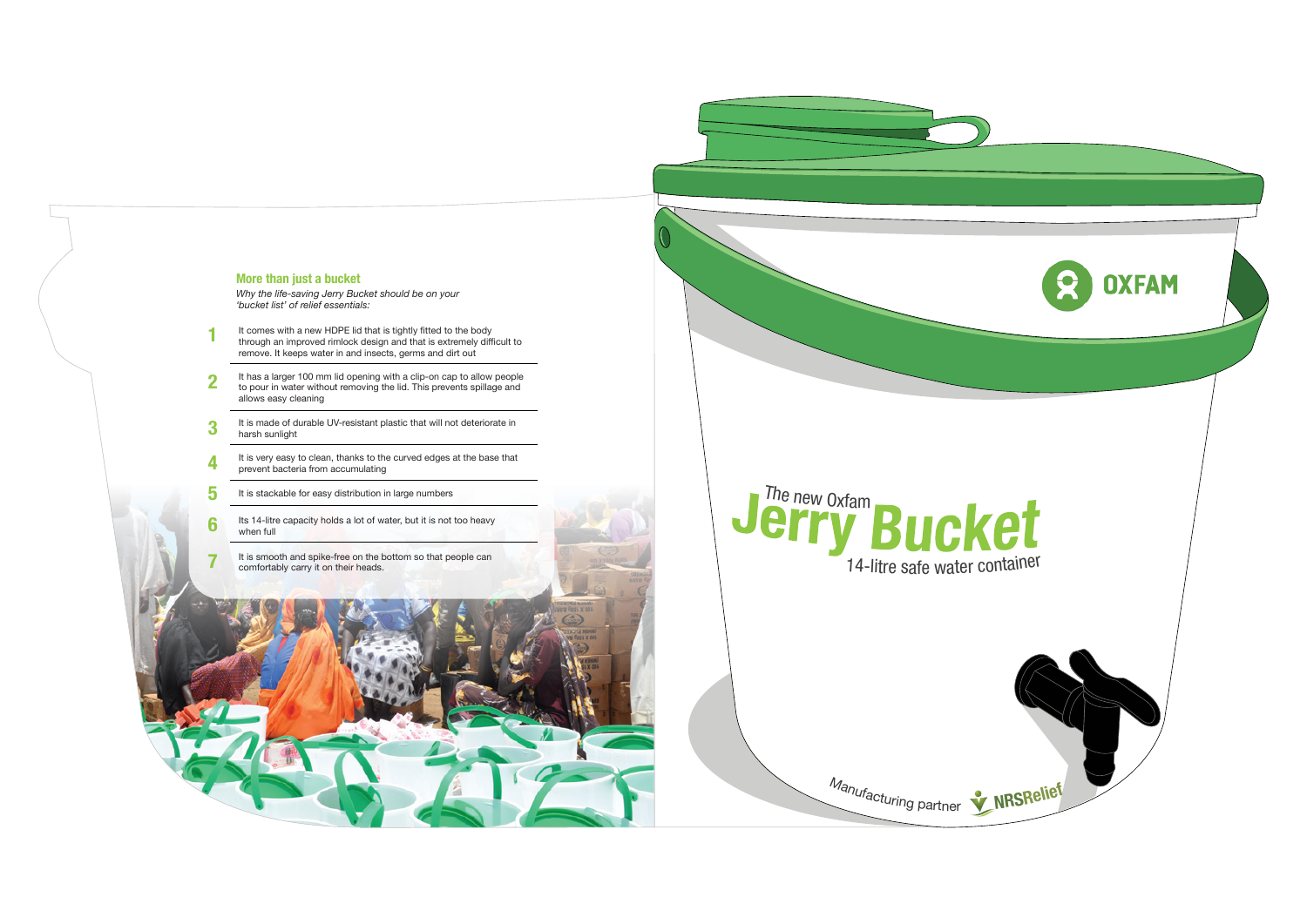